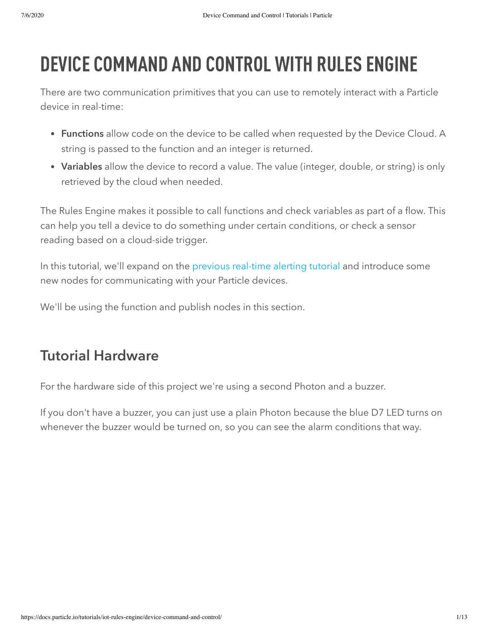# DEVICE COMMAND AND CONTROL WITH RULES ENGINE

There are two communication primitives that you can use to remotely interact with a Particle device in real-time:

- Functions allow code on the device to be called when requested by the Device Cloud. A string is passed to the function and an integer is returned.
- Variables allow the device to record a value. The value (integer, double, or string) is only retrieved by the cloud when needed.

The Rules Engine makes it possible to call functions and check variables as part of a flow. This can help you tell a device to do something under certain conditions, or check a sensor reading based on a cloud-side trigger.

In this tutorial, we'll expand on the [previous real-time alerting tutorial](https://docs.particle.io/tutorials/iot-rules-engine/device-command-and-control/) and introduce some new nodes for communicating with your Particle devices.

We'll be using the function and publish nodes in this section.

## Tutorial Hardware

For the hardware side of this project we're using a second Photon and a buzzer.

If you don't have a buzzer, you can just use a plain Photon because the blue D7 LED turns on whenever the buzzer would be turned on, so you can see the alarm conditions that way.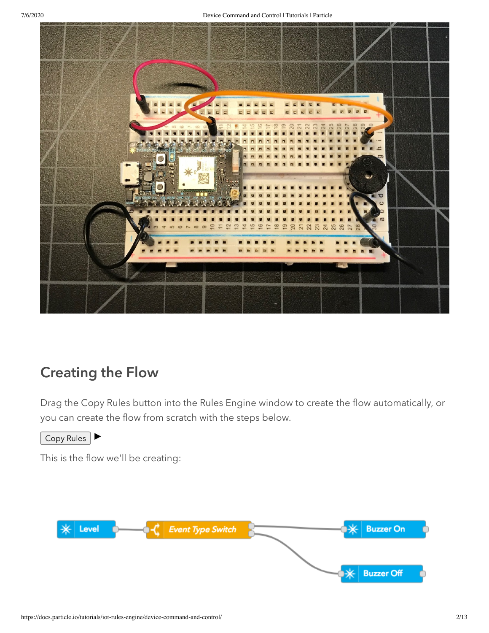

## Creating the Flow

Drag the Copy Rules button into the Rules Engine window to create the flow automatically, or you can create the flow from scratch with the steps below.

Copy Rules

This is the flow we'll be creating:

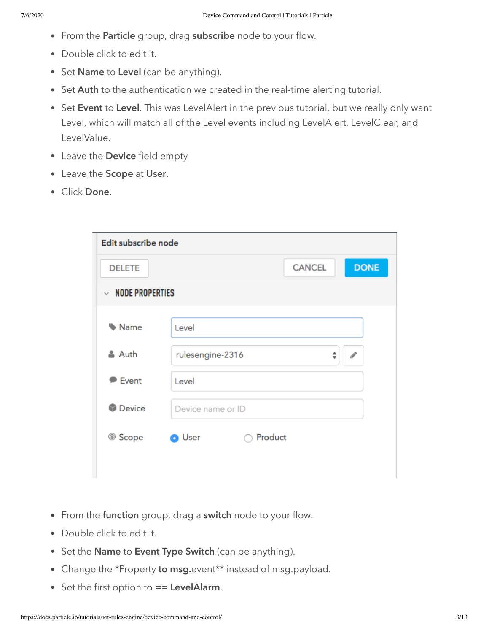- From the Particle group, drag subscribe node to your flow.
- Double click to edit it.
- Set Name to Level (can be anything).
- Set Auth to the authentication we created in the real-time alerting tutorial.
- Set Event to Level. This was LevelAlert in the previous tutorial, but we really only want Level, which will match all of the Level events including LevelAlert, LevelClear, and LevelValue.
- Leave the Device field empty
- Leave the Scope at User.
- Click Done.

| Edit subscribe node      |                          |               |                    |
|--------------------------|--------------------------|---------------|--------------------|
| <b>DELETE</b>            |                          | <b>CANCEL</b> | <b>DONE</b>        |
| $~\vee~$ NODE PROPERTIES |                          |               |                    |
|                          |                          |               |                    |
| Mame                     | Level                    |               |                    |
| & Auth                   | rulesengine-2316         |               | $\mathcal{I}$<br>÷ |
|                          |                          |               |                    |
| <b>Event</b>             | Level                    |               |                    |
| <b>Device</b>            | Device name or ID        |               |                    |
| <sup>◎</sup> Scope       | Product<br><b>O</b> User |               |                    |
|                          |                          |               |                    |

- From the function group, drag a switch node to your flow.
- Double click to edit it.
- Set the Name to Event Type Switch (can be anything).
- Change the \*Property to msg.event\*\* instead of msg.payload.
- Set the first option to == LevelAlarm.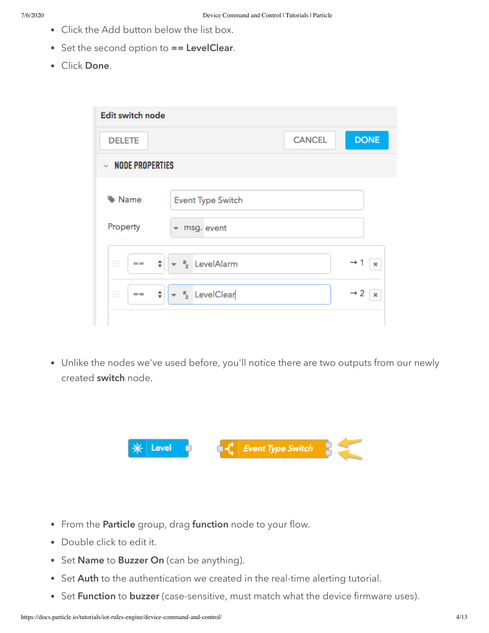- Click the Add button below the list box.
- $\bullet$  Set the second option to  $==$  LevelClear.
- Click Done.

| <b>Edit switch node</b>                              |                                                                                              |               |                                          |
|------------------------------------------------------|----------------------------------------------------------------------------------------------|---------------|------------------------------------------|
| <b>DELETE</b>                                        |                                                                                              | <b>CANCEL</b> | <b>DONE</b>                              |
| <b>NODE PROPERTIES</b><br>$\mathcal{L}$              |                                                                                              |               |                                          |
| Mame<br>Property<br>÷<br>$=$<br>$=$<br>$\frac{1}{2}$ | <b>Event Type Switch</b><br>msg. event<br>$\overline{\phantom{a}}$<br>$a_{\rm z}$ LevelAlarm |               | $\rightarrow$ 1<br>×                     |
| ÷<br>$=$<br>$\frac{1}{2}$                            | $\ast$ <sup>a</sup> <sub>z</sub> LevelClear                                                  |               | $\rightarrow$ 2<br>$\boldsymbol{\times}$ |

Unlike the nodes we've used before, you'll notice there are two outputs from our newly created switch node.



- From the Particle group, drag function node to your flow.
- Double click to edit it.
- Set Name to Buzzer On (can be anything).
- Set Auth to the authentication we created in the real-time alerting tutorial.
- Set Function to buzzer (case-sensitive, must match what the device firmware uses).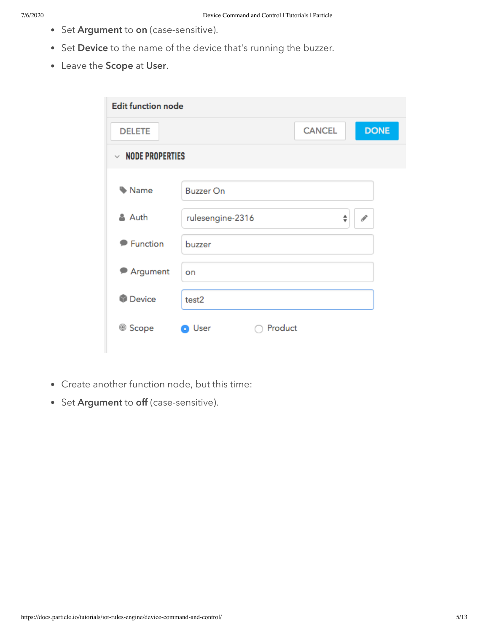- Set Argument to on (case-sensitive).
- Set Device to the name of the device that's running the buzzer.
- Leave the Scope at User.

| <b>Edit function node</b> |                          |               |               |
|---------------------------|--------------------------|---------------|---------------|
| <b>DELETE</b>             |                          | <b>CANCEL</b> | <b>DONE</b>   |
| $~\vee~$ NODE PROPERTIES  |                          |               |               |
| Mame                      | <b>Buzzer On</b>         |               |               |
| & Auth                    | rulesengine-2316         | ÷             | $\mathcal{P}$ |
| <b>P</b> Function         | buzzer                   |               |               |
| Argument<br>≂             | on                       |               |               |
| <b>Device</b>             | test2                    |               |               |
| <sup>◎</sup> Scope        | Product<br><b>O</b> User |               |               |

- Create another function node, but this time:
- Set Argument to off (case-sensitive).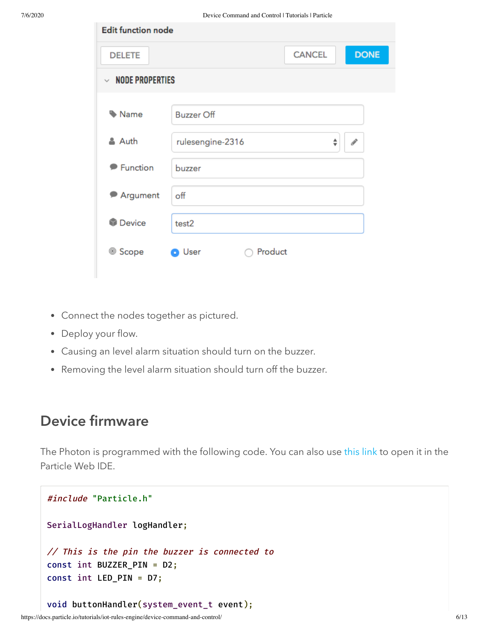| <b>Edit function node</b> |                          |               |               |
|---------------------------|--------------------------|---------------|---------------|
| <b>DELETE</b>             |                          | <b>CANCEL</b> | <b>DONE</b>   |
| $~\vee~$ NODE PROPERTIES  |                          |               |               |
|                           |                          |               |               |
| Name                      | <b>Buzzer Off</b>        |               |               |
| & Auth                    | rulesengine-2316         | ÷             | $\mathcal{J}$ |
| <b>P</b> Function         | buzzer                   |               |               |
| Argument                  | off                      |               |               |
| <b>Device</b>             | test2                    |               |               |
| <sup>◎</sup> Scope        | Product<br><b>O</b> User |               |               |

- Connect the nodes together as pictured.
- Deploy your flow.
- Causing an level alarm situation should turn on the buzzer.
- Removing the level alarm situation should turn off the buzzer.

#### Device firmware

The Photon is programmed with the following code. You can also use [this link](https://go.particle.io/shared_apps/5babbaa43242a990ac0015b5) to open it in the Particle Web IDE.

```
#include "Particle.h"
SerialLogHandler logHandler;
// This is the pin the buzzer is connected to
const int BUZZER_PIN = D2;
const int LED_PIN = D7;
void buttonHandler(system_event_t event);
```

```
https://docs.particle.io/tutorials/iot-rules-engine/device-command-and-control/ 6/13
```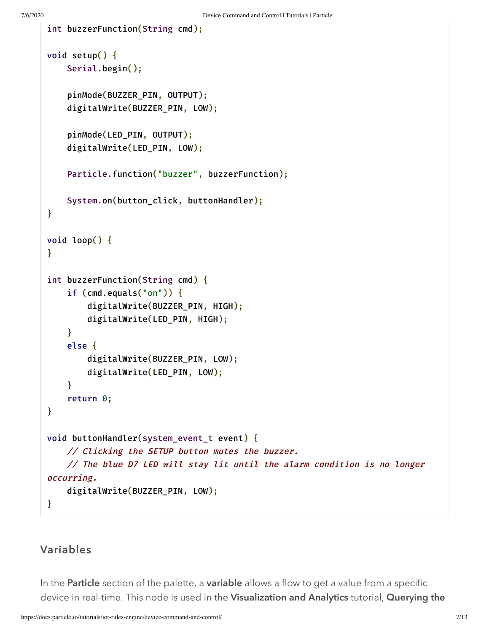int buzzerFunction(String cmd);

```
void setup() {
    Serial.begin();
    pinMode(BUZZER_PIN, OUTPUT);
    digitalWrite(BUZZER_PIN, LOW);
    pinMode(LED_PIN, OUTPUT);
    digitalWrite(LED_PIN, LOW);
    Particle.function("buzzer", buzzerFunction);
    System.on(button_click, buttonHandler);
}
void loop() {
}
int buzzerFunction(String cmd) {
    if (cmd.equals("on")) {
        digitalWrite(BUZZER_PIN, HIGH);
        digitalWrite(LED_PIN, HIGH);
    }
    else {
        digitalWrite(BUZZER_PIN, LOW);
        digitalWrite(LED_PIN, LOW);
    }
    return 0;
}
void buttonHandler(system_event_t event) {
    // Clicking the SETUP button mutes the buzzer.
    // The blue D7 LED will stay lit until the alarm condition is no longer
occurring.
    digitalWrite(BUZZER_PIN, LOW);
}
```
#### Variables

In the **Particle** section of the palette, a **variable** allows a flow to get a value from a specific device in real-time. This node is used in the Visualization and Analytics tutorial, Querying the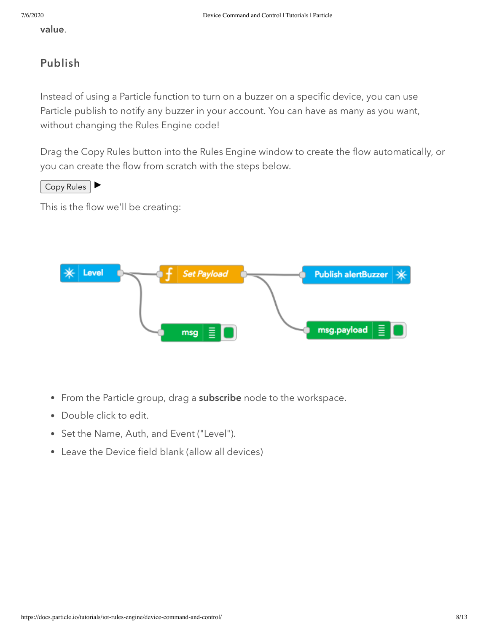value.

#### Publish

Instead of using a Particle function to turn on a buzzer on a specific device, you can use Particle publish to notify any buzzer in your account. You can have as many as you want, without changing the Rules Engine code!

Drag the Copy Rules button into the Rules Engine window to create the flow automatically, or you can create the flow from scratch with the steps below.

Copy Rules

This is the flow we'll be creating:



- From the Particle group, drag a subscribe node to the workspace.
- Double click to edit.
- Set the Name, Auth, and Event ("Level").
- Leave the Device field blank (allow all devices)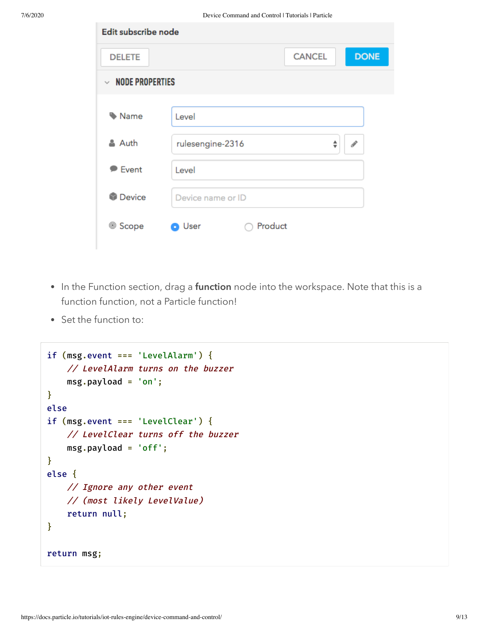| Edit subscribe node                    |                      |               |   |               |
|----------------------------------------|----------------------|---------------|---|---------------|
| <b>DELETE</b>                          |                      | <b>CANCEL</b> |   | <b>DONE</b>   |
| <b>NODE PROPERTIES</b><br>$\checkmark$ |                      |               |   |               |
|                                        |                      |               |   |               |
| Name                                   | Level                |               |   |               |
| & Auth                                 | rulesengine-2316     |               | ♦ | $\mathcal{I}$ |
| $\triangleright$ Event                 | Level                |               |   |               |
| Device                                 | Device name or ID    |               |   |               |
| <sup>◎</sup> Scope                     | Product<br>User<br>G |               |   |               |

- In the Function section, drag a function node into the workspace. Note that this is a function function, not a Particle function!
- Set the function to:

```
if (msg.event === 'LevelAlarm') {
    // LevelAlarm turns on the buzzer
    msg.payload = 'on';
}
else
if (msg.event === 'LevelClear') {
    // LevelClear turns off the buzzer
    msg.payload = 'off';
}
else {
   // Ignore any other event
   // (most likely LevelValue)
    return null;
}
return msg;
```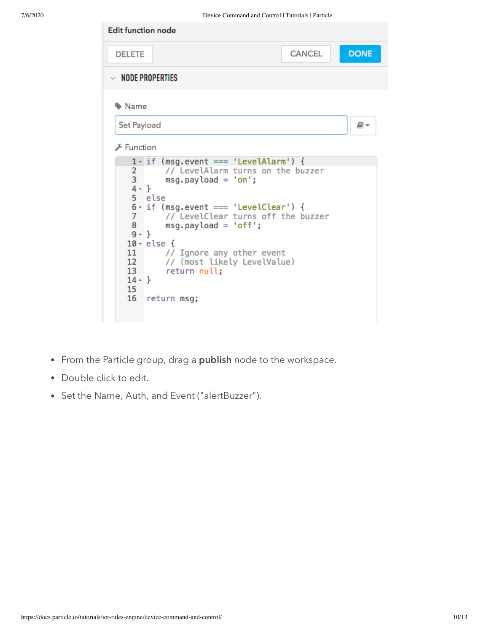

- From the Particle group, drag a publish node to the workspace.
- Double click to edit.
- Set the Name, Auth, and Event ("alertBuzzer").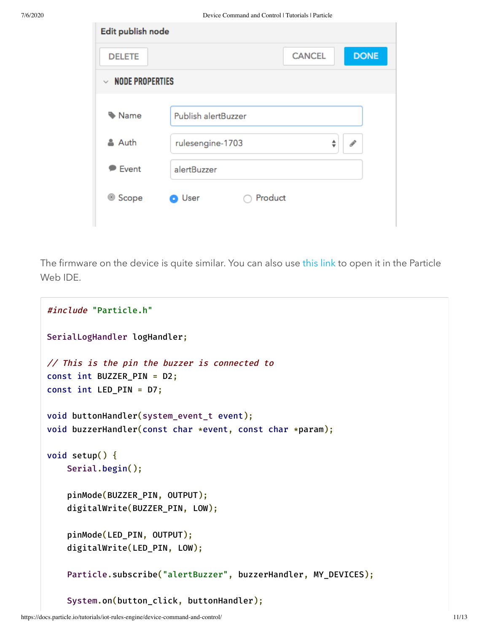| Edit publish node      |                                        |  |
|------------------------|----------------------------------------|--|
| <b>DELETE</b>          | <b>DONE</b><br><b>CANCEL</b>           |  |
| $\vee$ NODE PROPERTIES |                                        |  |
|                        |                                        |  |
| Mame                   | <b>Publish alertBuzzer</b>             |  |
| & Auth                 | rulesengine-1703<br>$\mathcal{J}$<br>÷ |  |
| <b>Event</b>           | alertBuzzer                            |  |
| <sup>◎</sup> Scope     | Product<br>User<br>п                   |  |

The firmware on the device is quite similar. You can also use [this link](https://go.particle.io/shared_apps/5babbae73242a9571a00172f) to open it in the Particle Web IDE.

```
#include "Particle.h"
SerialLogHandler logHandler;
// This is the pin the buzzer is connected to
const int BUZZER_PIN = D2;
const int LED_PIN = D7;
void buttonHandler(system_event_t event);
void buzzerHandler(const char *event, const char *param);
void setup() {
    Serial.begin();
    pinMode(BUZZER_PIN, OUTPUT);
    digitalWrite(BUZZER_PIN, LOW);
    pinMode(LED_PIN, OUTPUT);
    digitalWrite(LED_PIN, LOW);
    Particle.subscribe("alertBuzzer", buzzerHandler, MY_DEVICES);
    System.on(button_click, buttonHandler);
```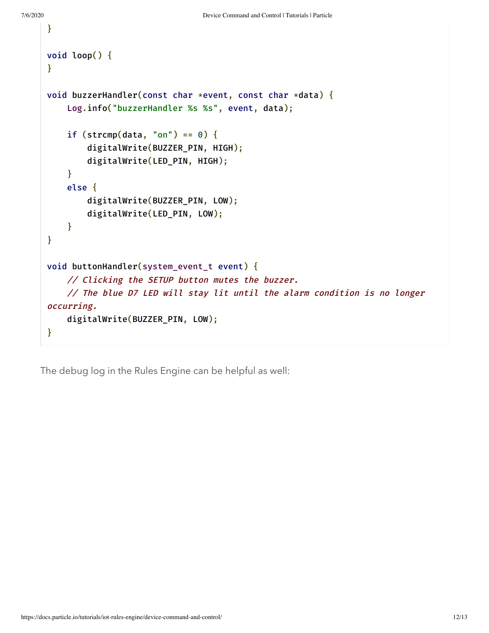}

```
void loop() {
}
void buzzerHandler(const char *event, const char *data) {
    Log.info("buzzerHandler %s %s", event, data);
    if (strcmp(data, "on") == 0) {
        digitalWrite(BUZZER_PIN, HIGH);
        digitalWrite(LED_PIN, HIGH);
    }
    else {
        digitalWrite(BUZZER_PIN, LOW);
        digitalWrite(LED_PIN, LOW);
    }
}
void buttonHandler(system_event_t event) {
    // Clicking the SETUP button mutes the buzzer.
    // The blue D7 LED will stay lit until the alarm condition is no longer
occurring.
    digitalWrite(BUZZER_PIN, LOW);
}
```
The debug log in the Rules Engine can be helpful as well: